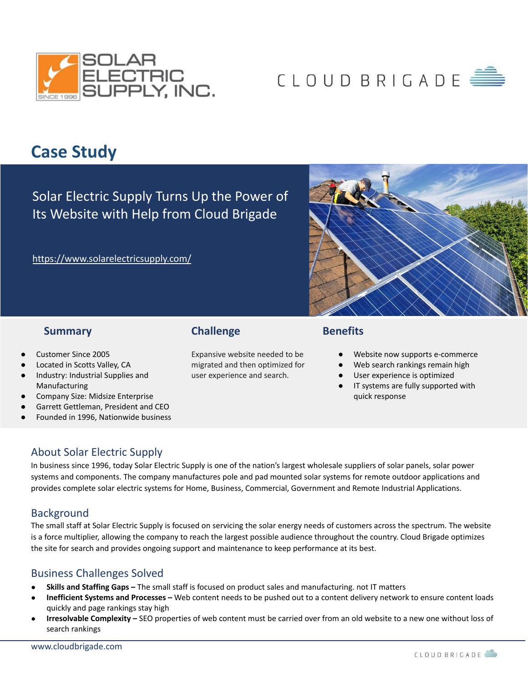

# CLOUD BRIGADE

# **Case Study**

Solar Electric Supply Turns Up the Power of Its Website with Help from Cloud Brigade

<https://www.solarelectricsupply.com/>



#### **Summary**

- Customer Since 2005
- Located in Scotts Valley, CA
- Industry: Industrial Supplies and Manufacturing
- Company Size: Midsize Enterprise
- Garrett Gettleman, President and CEO
- Founded in 1996, Nationwide business

### **Challenge**

Expansive website needed to be migrated and then optimized for user experience and search.

#### **Benefits**

- Website now supports e-commerce
- Web search rankings remain high
- User experience is optimized
- IT systems are fully supported with quick response

#### About Solar Electric Supply

In business since 1996, today Solar Electric Supply is one of the nation's largest wholesale suppliers of solar panels, solar power systems and components. The company manufactures pole and pad mounted solar systems for remote outdoor applications and provides complete solar electric systems for Home, Business, Commercial, Government and Remote Industrial Applications.

#### Background

The small staff at Solar Electric Supply is focused on servicing the solar energy needs of customers across the spectrum. The website is a force multiplier, allowing the company to reach the largest possible audience throughout the country. Cloud Brigade optimizes the site for search and provides ongoing support and maintenance to keep performance at its best.

#### Business Challenges Solved

- **Skills and Staffing Gaps –** The small staff is focused on product sales and manufacturing. not IT matters
- **Inefficient Systems and Processes –** Web content needs to be pushed out to a content delivery network to ensure content loads quickly and page rankings stay high
- **Irresolvable Complexity –** SEO properties of web content must be carried over from an old website to a new one without loss of search rankings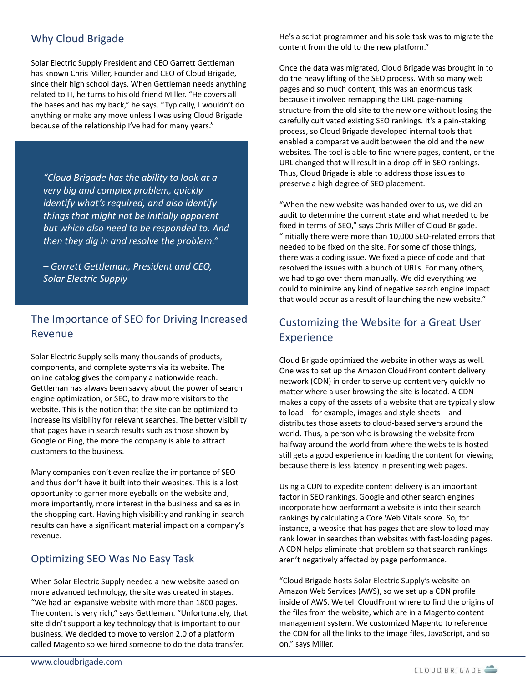# Why Cloud Brigade

Solar Electric Supply President and CEO Garrett Gettleman has known Chris Miller, Founder and CEO of Cloud Brigade, since their high school days. When Gettleman needs anything related to IT, he turns to his old friend Miller. "He covers all the bases and has my back," he says. "Typically, I wouldn't do anything or make any move unless I was using Cloud Brigade because of the relationship I've had for many years."

*"Cloud Brigade has the ability to look at a very big and complex problem, quickly identify what's required, and also identify things that might not be initially apparent but which also need to be responded to. And then they dig in and resolve the problem."*

*– Garrett Gettleman, President and CEO, Solar Electric Supply*

## The Importance of SEO for Driving Increased Revenue

Solar Electric Supply sells many thousands of products, components, and complete systems via its website. The online catalog gives the company a nationwide reach. Gettleman has always been savvy about the power of search engine optimization, or SEO, to draw more visitors to the website. This is the notion that the site can be optimized to increase its visibility for relevant searches. The better visibility that pages have in search results such as those shown by Google or Bing, the more the company is able to attract customers to the business.

Many companies don't even realize the importance of SEO and thus don't have it built into their websites. This is a lost opportunity to garner more eyeballs on the website and, more importantly, more interest in the business and sales in the shopping cart. Having high visibility and ranking in search results can have a significant material impact on a company's revenue.

#### Optimizing SEO Was No Easy Task

When Solar Electric Supply needed a new website based on more advanced technology, the site was created in stages. "We had an expansive website with more than 1800 pages. The content is very rich," says Gettleman. "Unfortunately, that site didn't support a key technology that is important to our business. We decided to move to version 2.0 of a platform called Magento so we hired someone to do the data transfer.

He's a script programmer and his sole task was to migrate the content from the old to the new platform."

Once the data was migrated, Cloud Brigade was brought in to do the heavy lifting of the SEO process. With so many web pages and so much content, this was an enormous task because it involved remapping the URL page-naming structure from the old site to the new one without losing the carefully cultivated existing SEO rankings. It's a pain-staking process, so Cloud Brigade developed internal tools that enabled a comparative audit between the old and the new websites. The tool is able to find where pages, content, or the URL changed that will result in a drop-off in SEO rankings. Thus, Cloud Brigade is able to address those issues to preserve a high degree of SEO placement.

"When the new website was handed over to us, we did an audit to determine the current state and what needed to be fixed in terms of SEO," says Chris Miller of Cloud Brigade. "Initially there were more than 10,000 SEO-related errors that needed to be fixed on the site. For some of those things, there was a coding issue. We fixed a piece of code and that resolved the issues with a bunch of URLs. For many others, we had to go over them manually. We did everything we could to minimize any kind of negative search engine impact that would occur as a result of launching the new website."

# Customizing the Website for a Great User Experience

Cloud Brigade optimized the website in other ways as well. One was to set up the Amazon CloudFront content delivery network (CDN) in order to serve up content very quickly no matter where a user browsing the site is located. A CDN makes a copy of the assets of a website that are typically slow to load – for example, images and style sheets – and distributes those assets to cloud-based servers around the world. Thus, a person who is browsing the website from halfway around the world from where the website is hosted still gets a good experience in loading the content for viewing because there is less latency in presenting web pages.

Using a CDN to expedite content delivery is an important factor in SEO rankings. Google and other search engines incorporate how performant a website is into their search rankings by calculating a Core Web Vitals score. So, for instance, a website that has pages that are slow to load may rank lower in searches than websites with fast-loading pages. A CDN helps eliminate that problem so that search rankings aren't negatively affected by page performance.

"Cloud Brigade hosts Solar Electric Supply's website on Amazon Web Services (AWS), so we set up a CDN profile inside of AWS. We tell CloudFront where to find the origins of the files from the website, which are in a Magento content management system. We customized Magento to reference the CDN for all the links to the image files, JavaScript, and so on," says Miller.